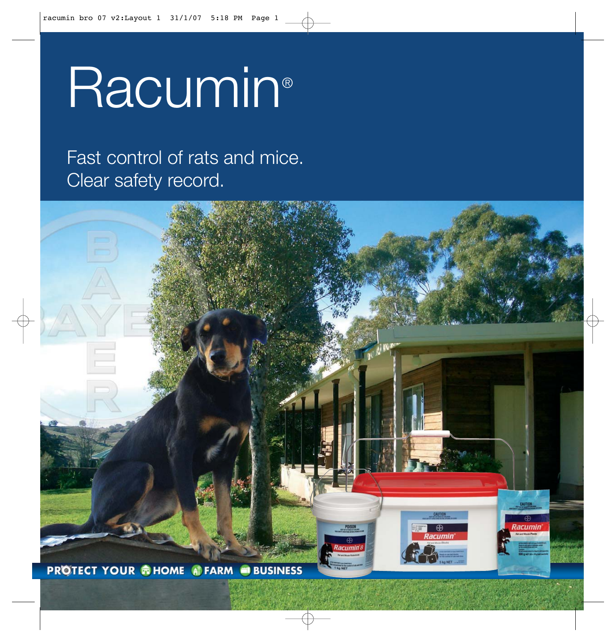# Racumin®

### Fast control of rats and mice. Clear safety record.

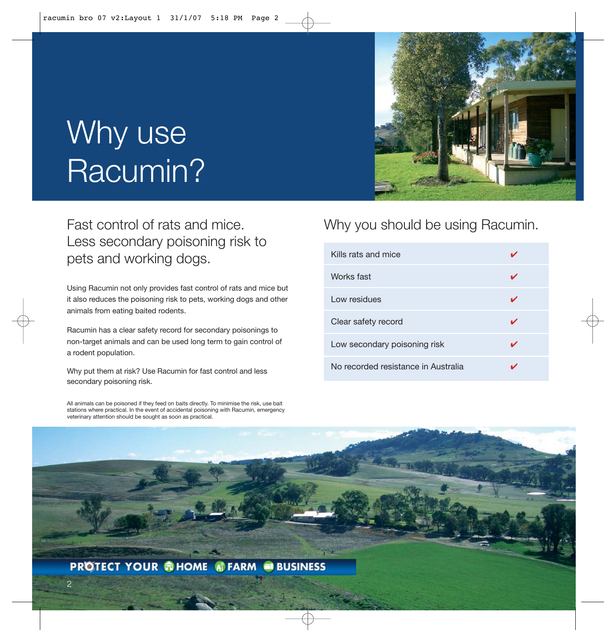# Why use Racumin?

### Fast control of rats and mice. Less secondary poisoning risk to pets and working dogs.

Using Racumin not only provides fast control of rats and mice but it also reduces the poisoning risk to pets, working dogs and other animals from eating baited rodents.

Racumin has a clear safety record for secondary poisonings to non-target animals and can be used long term to gain control of a rodent population.

Why put them at risk? Use Racumin for fast control and less secondary poisoning risk.

All animals can be poisoned if they feed on baits directly. To minimise the risk, use bait stations where practical. In the event of accidental poisoning with Racumin, emergency veterinary attention should be sought as soon as practical.

#### Why you should be using Racumin.

| Kills rats and mice                 |  |
|-------------------------------------|--|
| Works fast                          |  |
| Low residues                        |  |
| Clear safety record                 |  |
| Low secondary poisoning risk        |  |
| No recorded resistance in Australia |  |

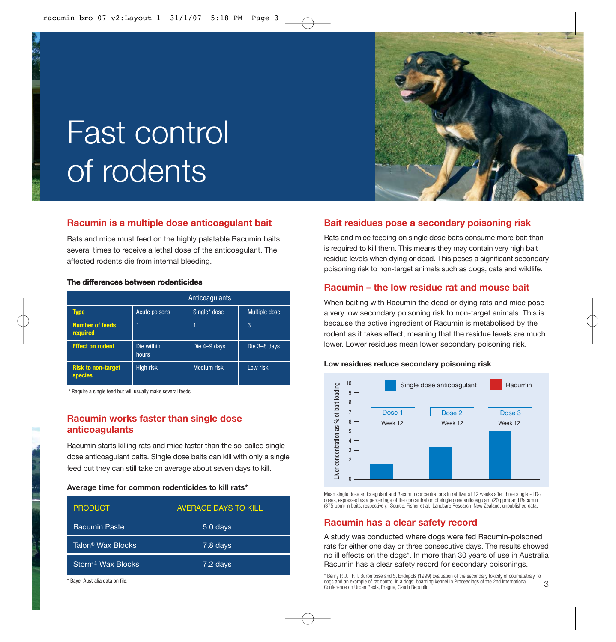

# Fast control of rodents

#### **Racumin is a multiple dose anticoagulant bait**

Rats and mice must feed on the highly palatable Racumin baits several times to receive a lethal dose of the anticoagulant. The affected rodents die from internal bleeding.

#### **The differences between rodenticides**

|                                      |                     | Anticoagulants     |                      |
|--------------------------------------|---------------------|--------------------|----------------------|
| Type                                 | Acute poisons       | Single* dose       | <b>Multiple dose</b> |
| <b>Number of feeds</b><br>required   |                     |                    | 3                    |
| <b>Effect on rodent</b>              | Die within<br>hours | Die 4-9 days       | Die 3-8 days         |
| <b>Risk to non-target</b><br>species | High risk           | <b>Medium</b> risk | Low risk             |

\* Require a single feed but will usually make several feeds.

#### **Racumin works faster than single dose anticoagulants**

Racumin starts killing rats and mice faster than the so-called single dose anticoagulant baits. Single dose baits can kill with only a single feed but they can still take on average about seven days to kill.

#### **Average time for common rodenticides to kill rats\***

| <b>PRODUCT</b>                | <b>AVERAGE DAYS TO KILL</b> |
|-------------------------------|-----------------------------|
| <b>Racumin Paste</b>          | 5.0 days                    |
| Talon <sup>®</sup> Wax Blocks | 7.8 days                    |
| Storm <sup>®</sup> Wax Blocks | 7.2 days                    |

\* Bayer Australia data on file.

#### **Bait residues pose a secondary poisoning risk**

Rats and mice feeding on single dose baits consume more bait than is required to kill them. This means they may contain very high bait residue levels when dying or dead. This poses a significant secondary poisoning risk to non-target animals such as dogs, cats and wildlife.

#### **Racumin – the low residue rat and mouse bait**

When baiting with Racumin the dead or dying rats and mice pose a very low secondary poisoning risk to non-target animals. This is because the active ingredient of Racumin is metabolised by the rodent as it takes effect, meaning that the residue levels are much lower. Lower residues mean lower secondary poisoning risk.

#### **Low residues reduce secondary poisoning risk**



Mean single dose anticoagulant and Racumin concentrations in rat liver at 12 weeks after three single ~LD<sub>15</sub> doses, expressed as a percentage of the concentration of single dose anticoagulant (20 ppm) and Racumin (375 ppm) in baits, respectively. Source: Fisher et al., Landcare Research, New Zealand, unpublished data.

#### **Racumin has a clear safety record**

A study was conducted where dogs were fed Racumin-poisoned rats for either one day or three consecutive days. The results showed no ill effects on the dogs\*. In more than 30 years of use in Australia Racumin has a clear safety record for secondary poisonings.

3 \* Berny P. J. , F. T. Buronfosse and S. Endepols (1999) Evaluation of the secondary toxicity of coumatetralyl to dogs and an example of rat control in a dogs' boarding kennel in Proceedings of the 2nd International Conference on Urban Pests, Prague, Czech Republic.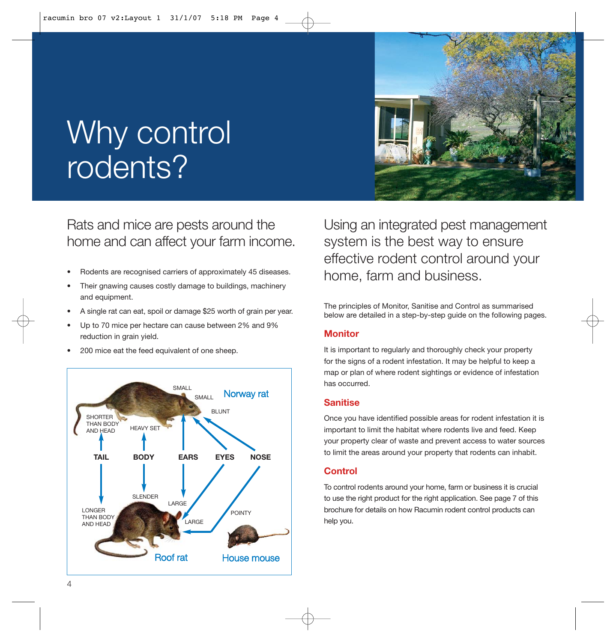

### Why control rodents?

Rats and mice are pests around the home and can affect your farm income.

- Rodents are recognised carriers of approximately 45 diseases.
- Their gnawing causes costly damage to buildings, machinery and equipment.
- A single rat can eat, spoil or damage \$25 worth of grain per year.
- Up to 70 mice per hectare can cause between 2% and 9% reduction in grain yield.
- 200 mice eat the feed equivalent of one sheep.



Using an integrated pest management system is the best way to ensure effective rodent control around your home, farm and business.

The principles of Monitor, Sanitise and Control as summarised below are detailed in a step-by-step guide on the following pages.

#### **Monitor**

It is important to regularly and thoroughly check your property for the signs of a rodent infestation. It may be helpful to keep a map or plan of where rodent sightings or evidence of infestation has occurred.

#### **Sanitise**

Once you have identified possible areas for rodent infestation it is important to limit the habitat where rodents live and feed. Keep your property clear of waste and prevent access to water sources to limit the areas around your property that rodents can inhabit.

#### **Control**

To control rodents around your home, farm or business it is crucial to use the right product for the right application. See page 7 of this brochure for details on how Racumin rodent control products can help you.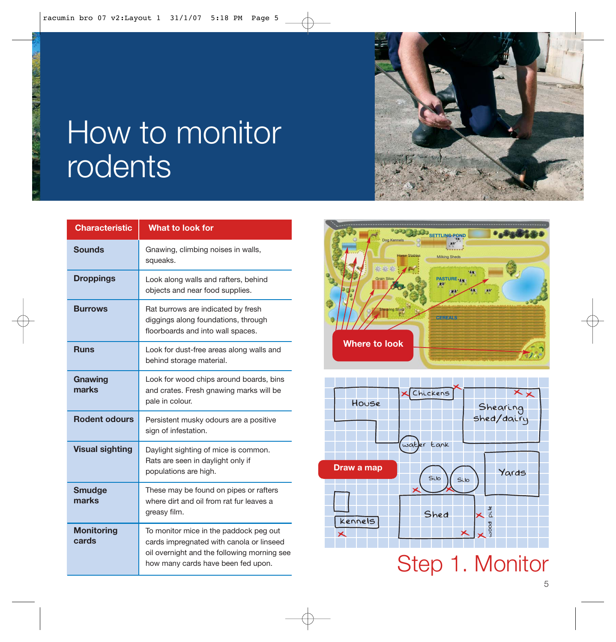

## How to monitor rodents

| <b>Characteristic</b>      | What to look for                                                                                                                                                        |
|----------------------------|-------------------------------------------------------------------------------------------------------------------------------------------------------------------------|
| <b>Sounds</b>              | Gnawing, climbing noises in walls,<br>squeaks.                                                                                                                          |
| <b>Droppings</b>           | Look along walls and rafters, behind<br>objects and near food supplies.                                                                                                 |
| <b>Burrows</b>             | Rat burrows are indicated by fresh<br>diggings along foundations, through<br>floorboards and into wall spaces.                                                          |
| <b>Runs</b>                | Look for dust-free areas along walls and<br>behind storage material.                                                                                                    |
| Gnawing<br>marks           | Look for wood chips around boards, bins<br>and crates. Fresh gnawing marks will be<br>pale in colour.                                                                   |
| <b>Rodent odours</b>       | Persistent musky odours are a positive<br>sign of infestation.                                                                                                          |
| <b>Visual sighting</b>     | Daylight sighting of mice is common.<br>Rats are seen in daylight only if<br>populations are high.                                                                      |
| <b>Smudge</b><br>marks     | These may be found on pipes or rafters<br>where dirt and oil from rat fur leaves a<br>greasy film.                                                                      |
| <b>Monitoring</b><br>cards | To monitor mice in the paddock peg out<br>cards impregnated with canola or linseed<br>oil overnight and the following morning see<br>how many cards have been fed upon. |





Step 1. Monitor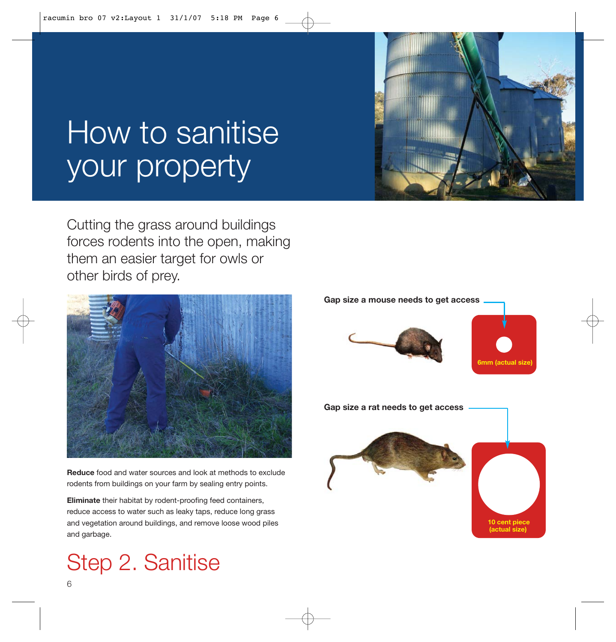### How to sanitise your property

Cutting the grass around buildings forces rodents into the open, making them an easier target for owls or other birds of prey.



**Reduce** food and water sources and look at methods to exclude rodents from buildings on your farm by sealing entry points.

**Eliminate** their habitat by rodent-proofing feed containers, reduce access to water such as leaky taps, reduce long grass and vegetation around buildings, and remove loose wood piles and garbage.

### Step 2. Sanitise



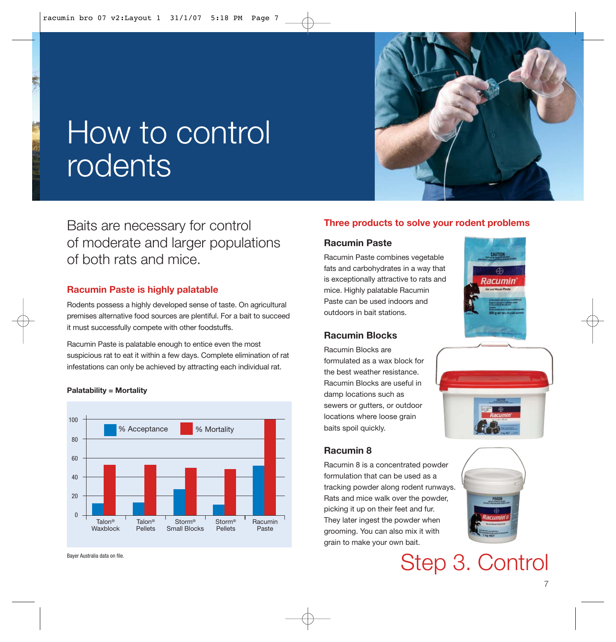

### How to control rodents

Baits are necessary for control of moderate and larger populations of both rats and mice.

#### **Racumin Paste is highly palatable**

Rodents possess a highly developed sense of taste. On agricultural premises alternative food sources are plentiful. For a bait to succeed it must successfully compete with other foodstuffs.

Racumin Paste is palatable enough to entice even the most suspicious rat to eat it within a few days. Complete elimination of rat infestations can only be achieved by attracting each individual rat.



**Palatability = Mortality**

#### Bayer Australia data on file.

#### **Three products to solve your rodent problems**

#### **Racumin Paste**

Racumin Paste combines vegetable fats and carbohydrates in a way that is exceptionally attractive to rats and mice. Highly palatable Racumin Paste can be used indoors and outdoors in bait stations.

#### **Racumin Blocks**

Racumin Blocks are formulated as a wax block for the best weather resistance. Racumin Blocks are useful in damp locations such as sewers or gutters, or outdoor locations where loose grain baits spoil quickly.

#### **Racumin 8**

Racumin 8 is a concentrated powder formulation that can be used as a tracking powder along rodent runways. Rats and mice walk over the powder, picking it up on their feet and fur. They later ingest the powder when grooming. You can also mix it with grain to make your own bait.







Step 3. Control